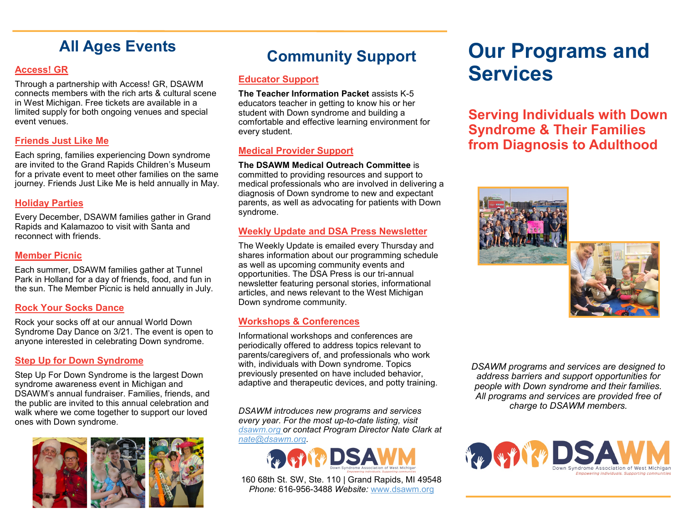### **All Ages Events**

#### **Access! GR**

Through a partnership with Access! GR, DSAWM connects members with the rich arts & cultural scene in West Michigan. Free tickets are available in a limited supply for both ongoing venues and special event venues.

#### **Friends Just Like Me**

Each spring, families experiencing Down syndrome are invited to the Grand Rapids Children's Museum for a private event to meet other families on the same journey. Friends Just Like Me is held annually in May.

#### **Holiday Parties**

Every December, DSAWM families gather in Grand Rapids and Kalamazoo to visit with Santa and reconnect with friends.

#### **Member Picnic**

Each summer, DSAWM families gather at Tunnel Park in Holland for a day of friends, food, and fun in the sun. The Member Picnic is held annually in July.

#### **Rock Your Socks Dance**

Rock your socks off at our annual World Down Syndrome Day Dance on 3/21. The event is open to anyone interested in celebrating Down syndrome.

#### **Step Up for Down Syndrome**

Step Up For Down Syndrome is the largest Down syndrome awareness event in Michigan and DSAWM's annual fundraiser. Families, friends, and the public are invited to this annual celebration and walk where we come together to support our loved ones with Down syndrome.



### **Community Support**

#### **Educator Support**

**The Teacher Information Packet** assists K-5 educators teacher in getting to know his or her student with Down syndrome and building a comfortable and effective learning environment for every student.

#### **Medical Provider Support**

**The DSAWM Medical Outreach Committee** is committed to providing resources and support to medical professionals who are involved in delivering a diagnosis of Down syndrome to new and expectant parents, as well as advocating for patients with Down syndrome.

#### **Weekly Update and DSA Press Newsletter**

The Weekly Update is emailed every Thursday and shares information about our programming schedule as well as upcoming community events and opportunities. The DSA Press is our tri-annual newsletter featuring personal stories, informational articles, and news relevant to the West Michigan Down syndrome community.

#### **Workshops & Conferences**

Informational workshops and conferences are periodically offered to address topics relevant to parents/caregivers of, and professionals who work with, individuals with Down syndrome. Topics previously presented on have included behavior, adaptive and therapeutic devices, and potty training.

*DSAWM introduces new programs and services every year. For the most up-to-date listing, visit dsawm.org or contact Program Director Nate Clark at nate@dsawm.org.*



160 68th St. SW, Ste. 110 | Grand Rapids, MI 49548 *Phone:* 616-956-3488 *Website:* [www.dsawm.org](http://www.dsawm.org/)

# **Our Programs and Services**

**Serving Individuals with Down Syndrome & Their Families from Diagnosis to Adulthood** 



*DSAWM programs and services are designed to address barriers and support opportunities for people with Down syndrome and their families. All programs and services are provided free of charge to DSAWM members.*